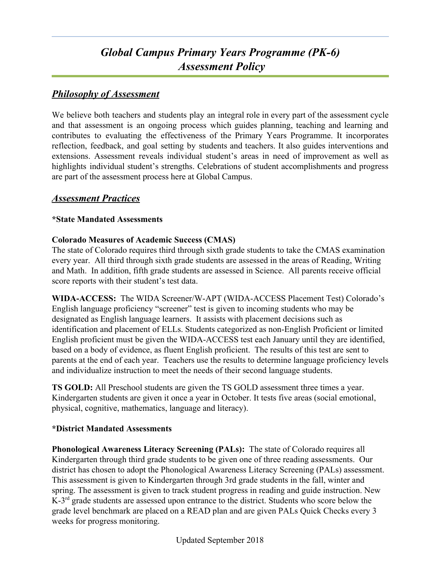# *Global Campus Primary Years Programme (PK-6) Assessment Policy*

# *Philosophy of Assessment*

We believe both teachers and students play an integral role in every part of the assessment cycle and that assessment is an ongoing process which guides planning, teaching and learning and contributes to evaluating the effectiveness of the Primary Years Programme. It incorporates reflection, feedback, and goal setting by students and teachers. It also guides interventions and extensions. Assessment reveals individual student's areas in need of improvement as well as highlights individual student's strengths. Celebrations of student accomplishments and progress are part of the assessment process here at Global Campus.

## *Assessment Practices*

### **\*State Mandated Assessments**

### **Colorado Measures of Academic Success (CMAS)**

The state of Colorado requires third through sixth grade students to take the CMAS examination every year. All third through sixth grade students are assessed in the areas of Reading, Writing and Math. In addition, fifth grade students are assessed in Science. All parents receive official score reports with their student's test data.

**WIDA-ACCESS:** The WIDA Screener/W-APT (WIDA-ACCESS Placement Test) Colorado's English language proficiency "screener" test is given to incoming students who may be designated as English language learners. It assists with placement decisions such as identification and placement of ELLs. Students categorized as non-English Proficient or limited English proficient must be given the WIDA-ACCESS test each January until they are identified, based on a body of evidence, as fluent English proficient. The results of this test are sent to parents at the end of each year. Teachers use the results to determine language proficiency levels and individualize instruction to meet the needs of their second language students.

**TS GOLD:** All Preschool students are given the TS GOLD assessment three times a year. Kindergarten students are given it once a year in October. It tests five areas (social emotional, physical, cognitive, mathematics, language and literacy).

### **\*District Mandated Assessments**

**Phonological Awareness Literacy Screening (PALs):** The state of Colorado requires all Kindergarten through third grade students to be given one of three reading assessments. Our district has chosen to adopt the Phonological Awareness Literacy Screening (PALs) assessment. This assessment is given to Kindergarten through 3rd grade students in the fall, winter and spring. The assessment is given to track student progress in reading and guide instruction. New K-3<sup>rd</sup> grade students are assessed upon entrance to the district. Students who score below the grade level benchmark are placed on a READ plan and are given PALs Quick Checks every 3 weeks for progress monitoring.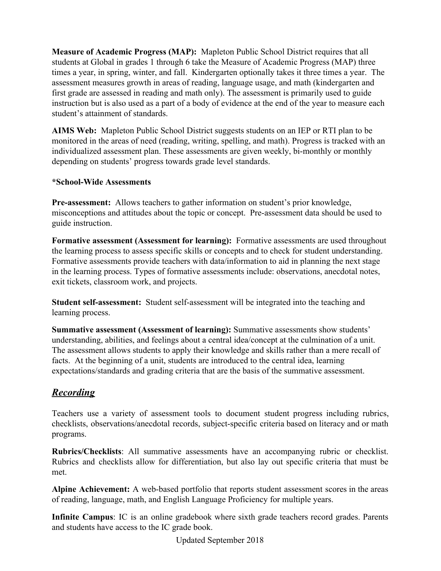**Measure of Academic Progress (MAP):** Mapleton Public School District requires that all students at Global in grades 1 through 6 take the Measure of Academic Progress (MAP) three times a year, in spring, winter, and fall. Kindergarten optionally takes it three times a year. The assessment measures growth in areas of reading, language usage, and math (kindergarten and first grade are assessed in reading and math only). The assessment is primarily used to guide instruction but is also used as a part of a body of evidence at the end of the year to measure each student's attainment of standards.

**AIMS Web:** Mapleton Public School District suggests students on an IEP or RTI plan to be monitored in the areas of need (reading, writing, spelling, and math). Progress is tracked with an individualized assessment plan. These assessments are given weekly, bi-monthly or monthly depending on students' progress towards grade level standards.

### **\*School-Wide Assessments**

**Pre-assessment:** Allows teachers to gather information on student's prior knowledge, misconceptions and attitudes about the topic or concept. Pre-assessment data should be used to guide instruction.

**Formative assessment (Assessment for learning):** Formative assessments are used throughout the learning process to assess specific skills or concepts and to check for student understanding. Formative assessments provide teachers with data/information to aid in planning the next stage in the learning process. Types of formative assessments include: observations, anecdotal notes, exit tickets, classroom work, and projects.

**Student self-assessment:** Student self-assessment will be integrated into the teaching and learning process.

**Summative assessment (Assessment of learning):** Summative assessments show students' understanding, abilities, and feelings about a central idea/concept at the culmination of a unit. The assessment allows students to apply their knowledge and skills rather than a mere recall of facts. At the beginning of a unit, students are introduced to the central idea, learning expectations/standards and grading criteria that are the basis of the summative assessment.

# *Recording*

Teachers use a variety of assessment tools to document student progress including rubrics, checklists, observations/anecdotal records, subject-specific criteria based on literacy and or math programs.

**Rubrics/Checklists**: All summative assessments have an accompanying rubric or checklist. Rubrics and checklists allow for differentiation, but also lay out specific criteria that must be met.

**Alpine Achievement:** A web-based portfolio that reports student assessment scores in the areas of reading, language, math, and English Language Proficiency for multiple years.

**Infinite Campus**: IC is an online gradebook where sixth grade teachers record grades. Parents and students have access to the IC grade book.